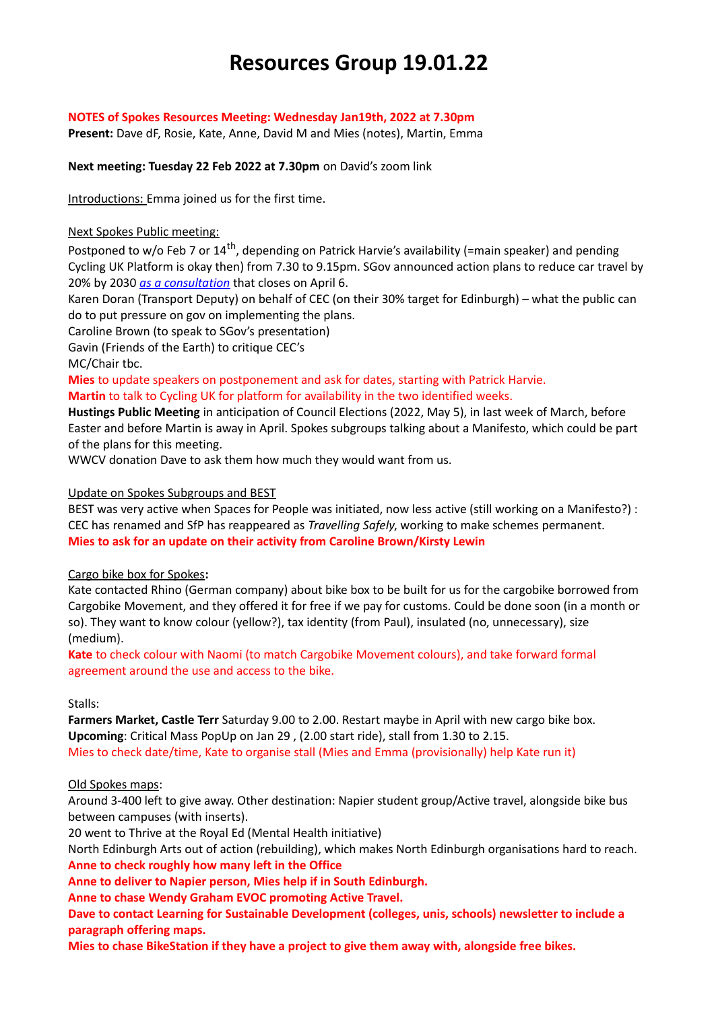# **Resources Group 19.01.22**

## **NOTES of Spokes Resources Meeting: Wednesday Jan19th, 2022 at 7.30pm**

**Present:** Dave dF, Rosie, Kate, Anne, David M and Mies (notes), Martin, Emma

## **Next meeting: Tuesday 22 Feb 2022 at 7.30pm** on David's zoom link

Introductions: Emma joined us for the first time.

## Next Spokes Public meeting:

Postponed to w/o Feb 7 or 14<sup>th</sup>, depending on Patrick Harvie's availability (=main speaker) and pending Cycling UK Platform is okay then) from 7.30 to 9.15pm. SGov announced action plans to reduce car travel by 20% by 2030 *[as a consultation](https://www.transport.gov.scot/publication/a-route-map-to-achieve-a-20-per-cent-reduction-in-car-kilometres-by-2030/)* that closes on April 6.

Karen Doran (Transport Deputy) on behalf of CEC (on their 30% target for Edinburgh) – what the public can do to put pressure on gov on implementing the plans.

Caroline Brown (to speak to SGov's presentation)

Gavin (Friends of the Earth) to critique CEC's

MC/Chair tbc.

**Mies** to update speakers on postponement and ask for dates, starting with Patrick Harvie. **Martin** to talk to Cycling UK for platform for availability in the two identified weeks.

**Hustings Public Meeting** in anticipation of Council Elections (2022, May 5), in last week of March, before Easter and before Martin is away in April. Spokes subgroups talking about a Manifesto, which could be part of the plans for this meeting.

WWCV donation Dave to ask them how much they would want from us.

## Update on Spokes Subgroups and BEST

BEST was very active when Spaces for People was initiated, now less active (still working on a Manifesto?) : CEC has renamed and SfP has reappeared as *Travelling Safely*, working to make schemes permanent. **Mies to ask for an update on their activity from Caroline Brown/Kirsty Lewin**

## Cargo bike box for Spokes**:**

Kate contacted Rhino (German company) about bike box to be built for us for the cargobike borrowed from Cargobike Movement, and they offered it for free if we pay for customs. Could be done soon (in a month or so). They want to know colour (yellow?), tax identity (from Paul), insulated (no, unnecessary), size (medium).

**Kate** to check colour with Naomi (to match Cargobike Movement colours), and take forward formal agreement around the use and access to the bike.

## Stalls:

**Farmers Market, Castle Terr** Saturday 9.00 to 2.00. Restart maybe in April with new cargo bike box. **Upcoming**: Critical Mass PopUp on Jan 29 , (2.00 start ride), stall from 1.30 to 2.15. Mies to check date/time, Kate to organise stall (Mies and Emma (provisionally) help Kate run it)

# Old Spokes maps:

Around 3-400 left to give away. Other destination: Napier student group/Active travel, alongside bike bus between campuses (with inserts).

20 went to Thrive at the Royal Ed (Mental Health initiative)

North Edinburgh Arts out of action (rebuilding), which makes North Edinburgh organisations hard to reach. **Anne to check roughly how many left in the Office**

**Anne to deliver to Napier person, Mies help if in South Edinburgh.**

**Anne to chase Wendy Graham EVOC promoting Active Travel.**

**Dave to contact Learning for Sustainable Development (colleges, unis, schools) newsletter to include a paragraph offering maps.** 

**Mies to chase BikeStation if they have a project to give them away with, alongside free bikes.**